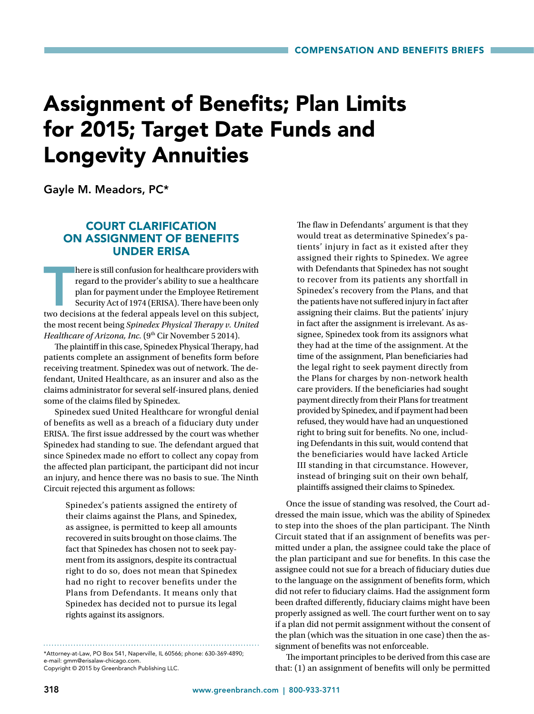# Assignment of Benefits; Plan Limits for 2015; Target Date Funds and Longevity Annuities

Gayle M. Meadors, PC\*

# COURT CLARIFICATION ON ASSIGNMENT OF BENEFITS UNDER ERISA

here is still confusion for healthcare providers with<br>regard to the provider's ability to sue a healthcare<br>plan for payment under the Employee Retirement<br>Security Act of 1974 (ERISA). There have been only<br>two decisions at here is still confusion for healthcare providers with regard to the provider's ability to sue a healthcare plan for payment under the Employee Retirement Security Act of 1974 (ERISA). There have been only the most recent being *Spinedex Physical Therapy v. United Healthcare of Arizona, Inc.* (9<sup>th</sup> Cir November 5 2014).

The plaintiff in this case, Spinedex Physical Therapy, had patients complete an assignment of benefits form before receiving treatment. Spinedex was out of network. The defendant, United Healthcare, as an insurer and also as the claims administrator for several self-insured plans, denied some of the claims filed by Spinedex.

Spinedex sued United Healthcare for wrongful denial of benefits as well as a breach of a fiduciary duty under ERISA. The first issue addressed by the court was whether Spinedex had standing to sue. The defendant argued that since Spinedex made no effort to collect any copay from the affected plan participant, the participant did not incur an injury, and hence there was no basis to sue. The Ninth Circuit rejected this argument as follows:

> Spinedex's patients assigned the entirety of their claims against the Plans, and Spinedex, as assignee, is permitted to keep all amounts recovered in suits brought on those claims. The fact that Spinedex has chosen not to seek payment from its assignors, despite its contractual right to do so, does not mean that Spinedex had no right to recover benefits under the Plans from Defendants. It means only that Spinedex has decided not to pursue its legal rights against its assignors.

\*Attorney-at-Law, PO Box 541, Naperville, IL 60566; phone: 630-369-4890; e-mail: gmm@erisalaw-chicago.com.

Copyright © 2015 by Greenbranch Publishing LLC.

The flaw in Defendants' argument is that they would treat as determinative Spinedex's patients' injury in fact as it existed after they assigned their rights to Spinedex. We agree with Defendants that Spinedex has not sought to recover from its patients any shortfall in Spinedex's recovery from the Plans, and that the patients have not suffered injury in fact after assigning their claims. But the patients' injury in fact after the assignment is irrelevant. As assignee, Spinedex took from its assignors what they had at the time of the assignment. At the time of the assignment, Plan beneficiaries had the legal right to seek payment directly from the Plans for charges by non-network health care providers. If the beneficiaries had sought payment directly from their Plans for treatment provided by Spinedex, and if payment had been refused, they would have had an unquestioned right to bring suit for benefits. No one, including Defendants in this suit, would contend that the beneficiaries would have lacked Article III standing in that circumstance. However, instead of bringing suit on their own behalf, plaintiffs assigned their claims to Spinedex.

Once the issue of standing was resolved, the Court addressed the main issue, which was the ability of Spinedex to step into the shoes of the plan participant. The Ninth Circuit stated that if an assignment of benefits was permitted under a plan, the assignee could take the place of the plan participant and sue for benefits. In this case the assignee could not sue for a breach of fiduciary duties due to the language on the assignment of benefits form, which did not refer to fiduciary claims. Had the assignment form been drafted differently, fiduciary claims might have been properly assigned as well. The court further went on to say if a plan did not permit assignment without the consent of the plan (which was the situation in one case) then the assignment of benefits was not enforceable.

The important principles to be derived from this case are that: (1) an assignment of benefits will only be permitted